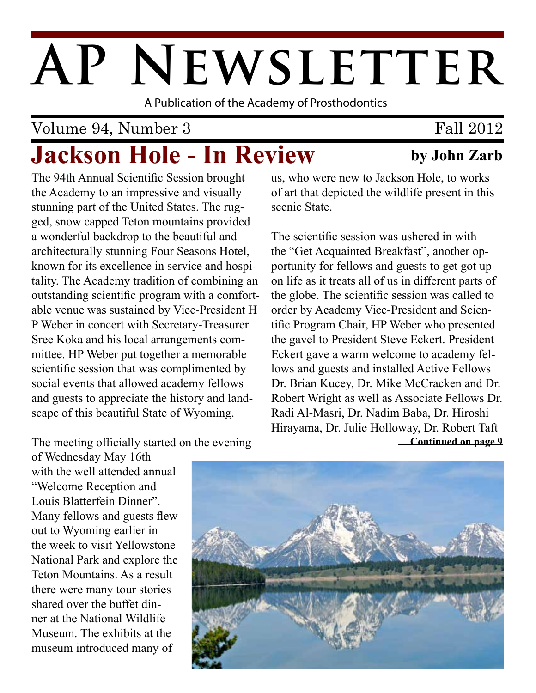# AP NEWSLETTER

A Publication of the Academy of Prosthodontics

# Volume 94, Number 3

# **Jackson Hole - In Review by John Zarb**

The 94th Annual Scientific Session brought the Academy to an impressive and visually stunning part of the United States. The rugged, snow capped Teton mountains provided a wonderful backdrop to the beautiful and architecturally stunning Four Seasons Hotel, known for its excellence in service and hospitality. The Academy tradition of combining an outstanding scientific program with a comfortable venue was sustained by Vice-President H P Weber in concert with Secretary-Treasurer Sree Koka and his local arrangements committee. HP Weber put together a memorable scientific session that was complimented by social events that allowed academy fellows and guests to appreciate the history and landscape of this beautiful State of Wyoming.

us, who were new to Jackson Hole, to works of art that depicted the wildlife present in this scenic State.

**Continued on page 9** The scientific session was ushered in with the "Get Acquainted Breakfast", another opportunity for fellows and guests to get got up on life as it treats all of us in different parts of the globe. The scientific session was called to order by Academy Vice-President and Scientific Program Chair, HP Weber who presented the gavel to President Steve Eckert. President Eckert gave a warm welcome to academy fellows and guests and installed Active Fellows Dr. Brian Kucey, Dr. Mike McCracken and Dr. Robert Wright as well as Associate Fellows Dr. Radi Al-Masri, Dr. Nadim Baba, Dr. Hiroshi Hirayama, Dr. Julie Holloway, Dr. Robert Taft

The meeting officially started on the evening

of Wednesday May 16th with the well attended annual "Welcome Reception and Louis Blatterfein Dinner". Many fellows and guests flew out to Wyoming earlier in the week to visit Yellowstone National Park and explore the Teton Mountains. As a result there were many tour stories shared over the buffet dinner at the National Wildlife Museum. The exhibits at the museum introduced many of



Fall 2012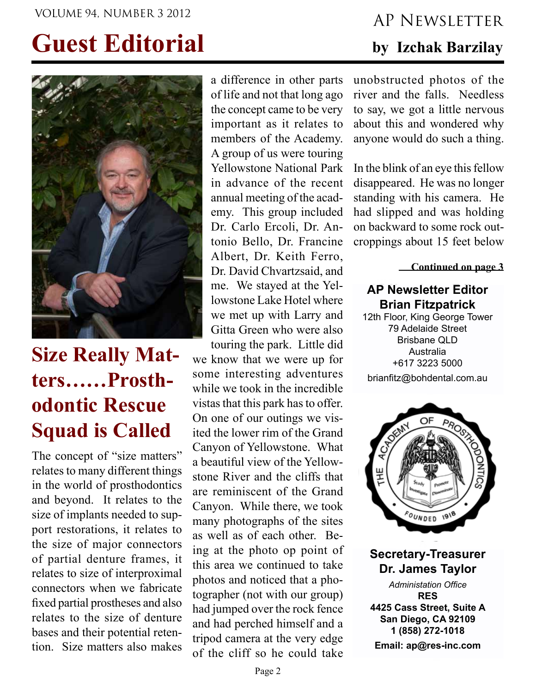# **Guest Editorial**



# **Size Really Matters……Prosthodontic Rescue Squad is Called**

The concept of "size matters" relates to many different things in the world of prosthodontics and beyond. It relates to the size of implants needed to support restorations, it relates to the size of major connectors of partial denture frames, it relates to size of interproximal connectors when we fabricate fixed partial prostheses and also relates to the size of denture bases and their potential retention. Size matters also makes

a difference in other parts of life and not that long ago the concept came to be very important as it relates to members of the Academy. A group of us were touring Yellowstone National Park in advance of the recent annual meeting of the academy. This group included Dr. Carlo Ercoli, Dr. Antonio Bello, Dr. Francine Albert, Dr. Keith Ferro, Dr. David Chvartzsaid, and me. We stayed at the Yellowstone Lake Hotel where we met up with Larry and Gitta Green who were also touring the park. Little did we know that we were up for

some interesting adventures while we took in the incredible vistas that this park has to offer. On one of our outings we visited the lower rim of the Grand Canyon of Yellowstone. What a beautiful view of the Yellowstone River and the cliffs that are reminiscent of the Grand Canyon. While there, we took many photographs of the sites as well as of each other. Being at the photo op point of this area we continued to take photos and noticed that a photographer (not with our group) had jumped over the rock fence and had perched himself and a tripod camera at the very edge of the cliff so he could take

# VOLUME 94, NUMBER 3 2012 AP NEWSLETTER

### **by Izchak Barzilay**

unobstructed photos of the river and the falls. Needless to say, we got a little nervous about this and wondered why anyone would do such a thing.

In the blink of an eye this fellow disappeared. He was no longer standing with his camera. He had slipped and was holding on backward to some rock outcroppings about 15 feet below

**Continued on page 3**

#### **AP Newsletter Editor Brian Fitzpatrick**

12th Floor, King George Tower 79 Adelaide Street Brisbane QLD Australia +617 3223 5000 brianfitz@bohdental.com.au



**Secretary-Treasurer Dr. James Taylor**

*Administation Office* **RES 4425 Cass Street, Suite A San Diego, CA 92109 1 (858) 272-1018 Email: ap@res-inc.com**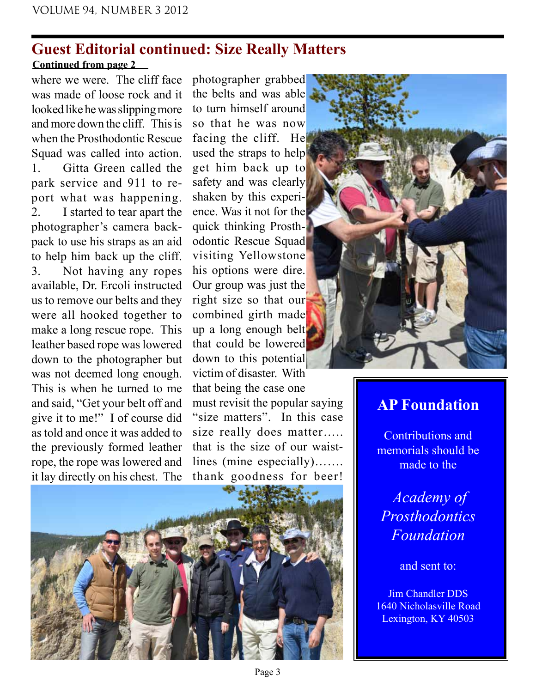#### **Guest Editorial continued: Size Really Matters Continued from page 2**

where we were. The cliff face was made of loose rock and it looked like he was slipping more and more down the cliff. This is when the Prosthodontic Rescue Squad was called into action. 1. Gitta Green called the park service and 911 to report what was happening. 2. I started to tear apart the photographer's camera backpack to use his straps as an aid to help him back up the cliff. 3. Not having any ropes available, Dr. Ercoli instructed us to remove our belts and they were all hooked together to make a long rescue rope. This leather based rope was lowered down to the photographer but was not deemed long enough. This is when he turned to me and said, "Get your belt off and give it to me!" I of course did as told and once it was added to the previously formed leather rope, the rope was lowered and it lay directly on his chest. The

photographer grabbed the belts and was able to turn himself around so that he was now facing the cliff. He used the straps to help get him back up to safety and was clearly shaken by this experience. Was it not for the quick thinking Prosthodontic Rescue Squad visiting Yellowstone his options were dire. Our group was just the right size so that our combined girth made up a long enough belt that could be lowered down to this potential victim of disaster. With that being the case one must revisit the popular saying "size matters". In this case size really does matter..... that is the size of our waistlines (mine especially)……. thank goodness for beer!





### **AP Foundation**

Contributions and memorials should be made to the

*Academy of Prosthodontics Foundation* 

and sent to:

Jim Chandler DDS 1640 Nicholasville Road Lexington, KY 40503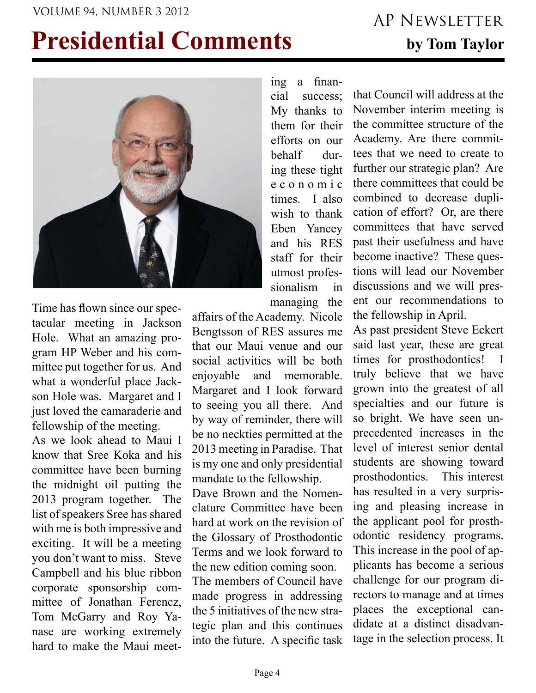# VOLUME 94, NUMBER 3 2012 AP NEWSI ETTER

# **Presidential Comments by Tom Taylor**



Time has flown since our spectacular meeting in Jackson Hole. What an amazing program HP Weber and his committee put together for us. And what a wonderful place Jackson Hole was. Margaret and I just loved the camaraderie and fellowship of the meeting.

As we look ahead to Maui I know that Sree Koka and his committee have been burning the midnight oil putting the 2013 program together. The list of speakers Sree has shared with me is both impressive and exciting. It will be a meeting you don't want to miss. Steve Campbell and his blue ribbon corporate sponsorship committee of Jonathan Ferencz, Tom McGarry and Roy Yanase are working extremely hard to make the Maui meeting a financial success; My thanks to them for their efforts on our behalf during these tight e c o n o m i c times. I also wish to thank Eben Yancey and his RES staff for their utmost professionalism in managing the

affairs of the Academy. Nicole Bengtsson of RES assures me that our Maui venue and our social activities will be both enjoyable and memorable. Margaret and I look forward to seeing you all there. And by way of reminder, there will be no neckties permitted at the 2013 meeting in Paradise. That is my one and only presidential mandate to the fellowship.

Dave Brown and the Nomenclature Committee have been hard at work on the revision of the Glossary of Prosthodontic Terms and we look forward to the new edition coming soon.

The members of Council have made progress in addressing the 5 initiatives of the new strategic plan and this continues into the future. A specific task

that Council will address at the November interim meeting is the committee structure of the Academy. Are there committees that we need to create to further our strategic plan? Are there committees that could be combined to decrease duplication of effort? Or, are there committees that have served past their usefulness and have become inactive? These questions will lead our November discussions and we will present our recommendations to the fellowship in April.

As past president Steve Eckert said last year, these are great times for prosthodontics! I truly believe that we have grown into the greatest of all specialties and our future is so bright. We have seen unprecedented increases in the level of interest senior dental students are showing toward prosthodontics. This interest has resulted in a very surprising and pleasing increase in the applicant pool for prosthodontic residency programs. This increase in the pool of applicants has become a serious challenge for our program directors to manage and at times places the exceptional candidate at a distinct disadvantage in the selection process. It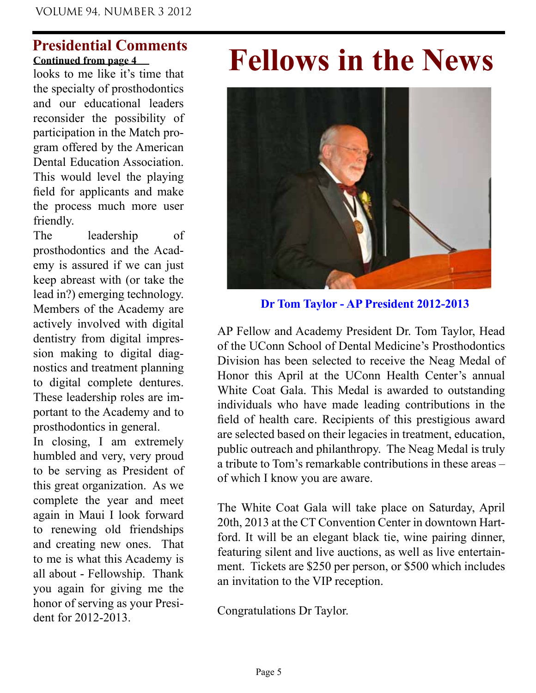#### **Presidential Comments Continued from page 4**

looks to me like it's time that the specialty of prosthodontics and our educational leaders reconsider the possibility of participation in the Match program offered by the American Dental Education Association. This would level the playing field for applicants and make the process much more user friendly.

The leadership of prosthodontics and the Academy is assured if we can just keep abreast with (or take the lead in?) emerging technology. Members of the Academy are actively involved with digital dentistry from digital impression making to digital diagnostics and treatment planning to digital complete dentures. These leadership roles are important to the Academy and to prosthodontics in general.

In closing, I am extremely humbled and very, very proud to be serving as President of this great organization. As we complete the year and meet again in Maui I look forward to renewing old friendships and creating new ones. That to me is what this Academy is all about - Fellowship. Thank you again for giving me the honor of serving as your President for 2012-2013.

# **Fellows in the News**



**Dr Tom Taylor - AP President 2012-2013**

AP Fellow and Academy President Dr. Tom Taylor, Head of the UConn School of Dental Medicine's Prosthodontics Division has been selected to receive the Neag Medal of Honor this April at the UConn Health Center's annual White Coat Gala. This Medal is awarded to outstanding individuals who have made leading contributions in the field of health care. Recipients of this prestigious award are selected based on their legacies in treatment, education, public outreach and philanthropy. The Neag Medal is truly a tribute to Tom's remarkable contributions in these areas – of which I know you are aware.

The White Coat Gala will take place on Saturday, April 20th, 2013 at the CT Convention Center in downtown Hartford. It will be an elegant black tie, wine pairing dinner, featuring silent and live auctions, as well as live entertainment. Tickets are \$250 per person, or \$500 which includes an invitation to the VIP reception.

Congratulations Dr Taylor.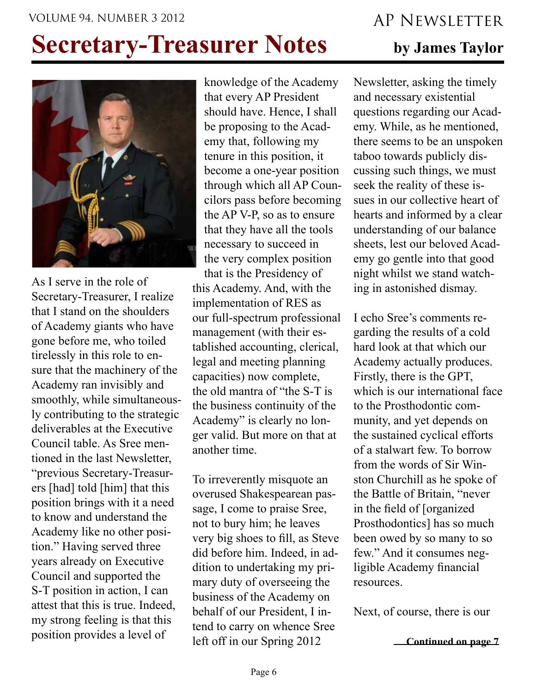#### VOLUME 94, NUMBER 3 2012 AP NEWSLETTER

# **Secretary-Treasurer Notes** by James Taylor



As I serve in the role of Secretary-Treasurer, I realize that I stand on the shoulders of Academy giants who have gone before me, who toiled tirelessly in this role to ensure that the machinery of the Academy ran invisibly and smoothly, while simultaneously contributing to the strategic deliverables at the Executive Council table. As Sree mentioned in the last Newsletter, "previous Secretary-Treasurers [had] told [him] that this position brings with it a need to know and understand the Academy like no other position." Having served three years already on Executive Council and supported the S-T position in action, I can attest that this is true. Indeed, my strong feeling is that this position provides a level of

knowledge of the Academy that every AP President should have. Hence, I shall be proposing to the Academy that, following my tenure in this position, it become a one-year position through which all AP Councilors pass before becoming the AP V-P, so as to ensure that they have all the tools necessary to succeed in the very complex position

that is the Presidency of this Academy. And, with the implementation of RES as our full-spectrum professional management (with their established accounting, clerical, legal and meeting planning capacities) now complete, the old mantra of "the S-T is the business continuity of the Academy" is clearly no longer valid. But more on that at another time.

To irreverently misquote an overused Shakespearean passage, I come to praise Sree, not to bury him; he leaves very big shoes to fill, as Steve did before him. Indeed, in addition to undertaking my primary duty of overseeing the business of the Academy on behalf of our President, I intend to carry on whence Sree left off in our Spring 2012

Newsletter, asking the timely and necessary existential questions regarding our Academy. While, as he mentioned, there seems to be an unspoken taboo towards publicly discussing such things, we must seek the reality of these issues in our collective heart of hearts and informed by a clear understanding of our balance sheets, lest our beloved Academy go gentle into that good night whilst we stand watching in astonished dismay.

I echo Sree's comments regarding the results of a cold hard look at that which our Academy actually produces. Firstly, there is the GPT, which is our international face to the Prosthodontic community, and yet depends on the sustained cyclical efforts of a stalwart few. To borrow from the words of Sir Winston Churchill as he spoke of the Battle of Britain, "never in the field of [organized Prosthodontics] has so much been owed by so many to so few." And it consumes negligible Academy financial resources.

Next, of course, there is our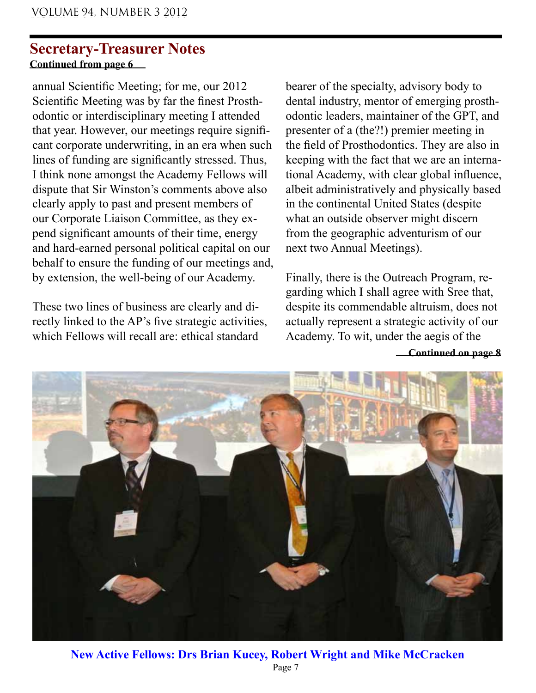#### **Secretary-Treasurer Notes Continued from page 6**

annual Scientific Meeting; for me, our 2012 Scientific Meeting was by far the finest Prosthodontic or interdisciplinary meeting I attended that year. However, our meetings require significant corporate underwriting, in an era when such lines of funding are significantly stressed. Thus, I think none amongst the Academy Fellows will dispute that Sir Winston's comments above also clearly apply to past and present members of our Corporate Liaison Committee, as they expend significant amounts of their time, energy and hard-earned personal political capital on our behalf to ensure the funding of our meetings and, by extension, the well-being of our Academy.

These two lines of business are clearly and directly linked to the AP's five strategic activities, which Fellows will recall are: ethical standard

bearer of the specialty, advisory body to dental industry, mentor of emerging prosthodontic leaders, maintainer of the GPT, and presenter of a (the?!) premier meeting in the field of Prosthodontics. They are also in keeping with the fact that we are an international Academy, with clear global influence, albeit administratively and physically based in the continental United States (despite what an outside observer might discern from the geographic adventurism of our next two Annual Meetings).

Finally, there is the Outreach Program, regarding which I shall agree with Sree that, despite its commendable altruism, does not actually represent a strategic activity of our Academy. To wit, under the aegis of the



**New Active Fellows: Drs Brian Kucey, Robert Wright and Mike McCracken** Page 7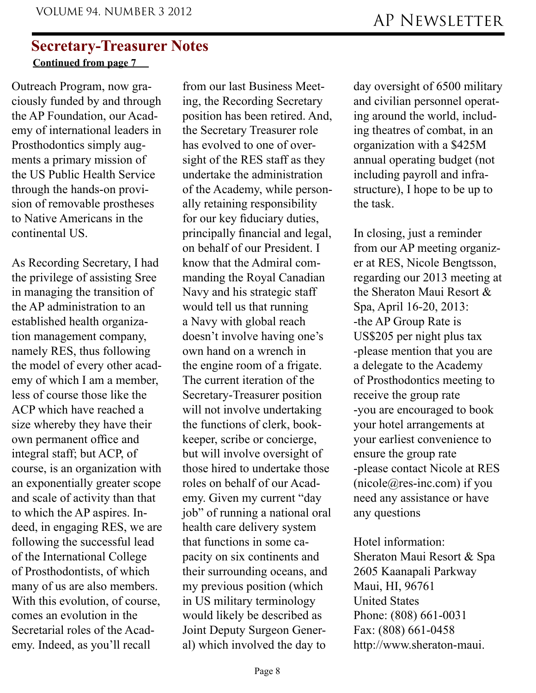#### **Secretary-Treasurer Notes Continued from page 7**

Outreach Program, now graciously funded by and through the AP Foundation, our Academy of international leaders in Prosthodontics simply augments a primary mission of the US Public Health Service through the hands-on provision of removable prostheses to Native Americans in the continental US.

As Recording Secretary, I had the privilege of assisting Sree in managing the transition of the AP administration to an established health organization management company, namely RES, thus following the model of every other academy of which I am a member, less of course those like the ACP which have reached a size whereby they have their own permanent office and integral staff; but ACP, of course, is an organization with an exponentially greater scope and scale of activity than that to which the AP aspires. Indeed, in engaging RES, we are following the successful lead of the International College of Prosthodontists, of which many of us are also members. With this evolution, of course, comes an evolution in the Secretarial roles of the Academy. Indeed, as you'll recall

from our last Business Meeting, the Recording Secretary position has been retired. And, the Secretary Treasurer role has evolved to one of oversight of the RES staff as they undertake the administration of the Academy, while personally retaining responsibility for our key fiduciary duties, principally financial and legal, on behalf of our President. I know that the Admiral commanding the Royal Canadian Navy and his strategic staff would tell us that running a Navy with global reach doesn't involve having one's own hand on a wrench in the engine room of a frigate. The current iteration of the Secretary-Treasurer position will not involve undertaking the functions of clerk, bookkeeper, scribe or concierge, but will involve oversight of those hired to undertake those roles on behalf of our Academy. Given my current "day job" of running a national oral health care delivery system that functions in some capacity on six continents and their surrounding oceans, and my previous position (which in US military terminology would likely be described as Joint Deputy Surgeon General) which involved the day to

day oversight of 6500 military and civilian personnel operating around the world, including theatres of combat, in an organization with a \$425M annual operating budget (not including payroll and infrastructure), I hope to be up to the task.

In closing, just a reminder from our AP meeting organizer at RES, Nicole Bengtsson, regarding our 2013 meeting at the Sheraton Maui Resort & Spa, April 16-20, 2013: -the AP Group Rate is US\$205 per night plus tax -please mention that you are a delegate to the Academy of Prosthodontics meeting to receive the group rate -you are encouraged to book your hotel arrangements at your earliest convenience to ensure the group rate -please contact Nicole at RES  $(nicole@res-inc.com)$  if you need any assistance or have any questions

Hotel information: Sheraton Maui Resort & Spa 2605 Kaanapali Parkway Maui, HI, 96761 United States Phone: (808) 661-0031 Fax: (808) 661-0458 http://www.sheraton-maui.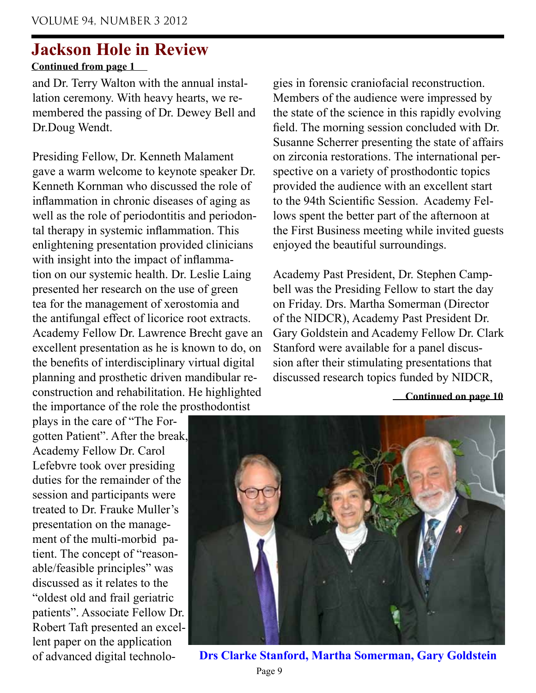**Continued from page 1**

and Dr. Terry Walton with the annual installation ceremony. With heavy hearts, we remembered the passing of Dr. Dewey Bell and Dr.Doug Wendt.

Presiding Fellow, Dr. Kenneth Malament gave a warm welcome to keynote speaker Dr. Kenneth Kornman who discussed the role of inflammation in chronic diseases of aging as well as the role of periodontitis and periodontal therapy in systemic inflammation. This enlightening presentation provided clinicians with insight into the impact of inflammation on our systemic health. Dr. Leslie Laing presented her research on the use of green tea for the management of xerostomia and the antifungal effect of licorice root extracts. Academy Fellow Dr. Lawrence Brecht gave an excellent presentation as he is known to do, on the benefits of interdisciplinary virtual digital planning and prosthetic driven mandibular reconstruction and rehabilitation. He highlighted the importance of the role the prosthodontist

plays in the care of "The Forgotten Patient". After the break, Academy Fellow Dr. Carol Lefebvre took over presiding duties for the remainder of the session and participants were treated to Dr. Frauke Muller's presentation on the management of the multi-morbid patient. The concept of "reasonable/feasible principles" was discussed as it relates to the "oldest old and frail geriatric patients". Associate Fellow Dr. Robert Taft presented an excellent paper on the application of advanced digital technologies in forensic craniofacial reconstruction. Members of the audience were impressed by the state of the science in this rapidly evolving field. The morning session concluded with Dr. Susanne Scherrer presenting the state of affairs on zirconia restorations. The international perspective on a variety of prosthodontic topics provided the audience with an excellent start to the 94th Scientific Session. Academy Fellows spent the better part of the afternoon at the First Business meeting while invited guests enjoyed the beautiful surroundings.

Academy Past President, Dr. Stephen Campbell was the Presiding Fellow to start the day on Friday. Drs. Martha Somerman (Director of the NIDCR), Academy Past President Dr. Gary Goldstein and Academy Fellow Dr. Clark Stanford were available for a panel discussion after their stimulating presentations that discussed research topics funded by NIDCR,



**Drs Clarke Stanford, Martha Somerman, Gary Goldstein**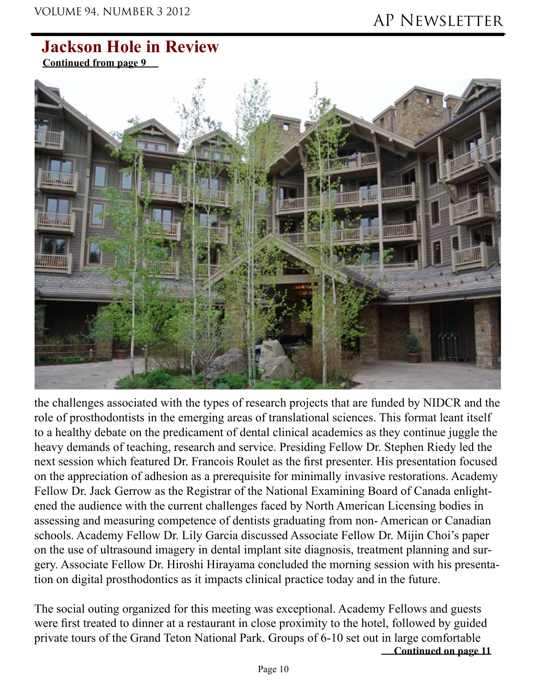**Continued from page 9**



the challenges associated with the types of research projects that are funded by NIDCR and the role of prosthodontists in the emerging areas of translational sciences. This format leant itself to a healthy debate on the predicament of dental clinical academics as they continue juggle the heavy demands of teaching, research and service. Presiding Fellow Dr. Stephen Riedy led the next session which featured Dr. Francois Roulet as the first presenter. His presentation focused on the appreciation of adhesion as a prerequisite for minimally invasive restorations. Academy Fellow Dr. Jack Gerrow as the Registrar of the National Examining Board of Canada enlightened the audience with the current challenges faced by North American Licensing bodies in assessing and measuring competence of dentists graduating from non- American or Canadian schools. Academy Fellow Dr. Lily Garcia discussed Associate Fellow Dr. Mijin Choi's paper on the use of ultrasound imagery in dental implant site diagnosis, treatment planning and surgery. Associate Fellow Dr. Hiroshi Hirayama concluded the morning session with his presentation on digital prosthodontics as it impacts clinical practice today and in the future.

**Continued on page 11** The social outing organized for this meeting was exceptional. Academy Fellows and guests were first treated to dinner at a restaurant in close proximity to the hotel, followed by guided private tours of the Grand Teton National Park. Groups of 6-10 set out in large comfortable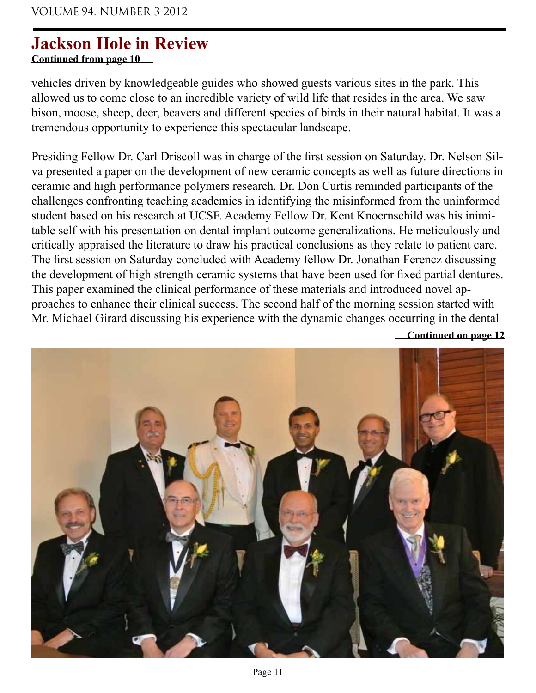**Continued from page 10**

vehicles driven by knowledgeable guides who showed guests various sites in the park. This allowed us to come close to an incredible variety of wild life that resides in the area. We saw bison, moose, sheep, deer, beavers and different species of birds in their natural habitat. It was a tremendous opportunity to experience this spectacular landscape.

Presiding Fellow Dr. Carl Driscoll was in charge of the first session on Saturday. Dr. Nelson Silva presented a paper on the development of new ceramic concepts as well as future directions in ceramic and high performance polymers research. Dr. Don Curtis reminded participants of the challenges confronting teaching academics in identifying the misinformed from the uninformed student based on his research at UCSF. Academy Fellow Dr. Kent Knoernschild was his inimitable self with his presentation on dental implant outcome generalizations. He meticulously and critically appraised the literature to draw his practical conclusions as they relate to patient care. The first session on Saturday concluded with Academy fellow Dr. Jonathan Ferencz discussing the development of high strength ceramic systems that have been used for fixed partial dentures. This paper examined the clinical performance of these materials and introduced novel approaches to enhance their clinical success. The second half of the morning session started with Mr. Michael Girard discussing his experience with the dynamic changes occurring in the dental

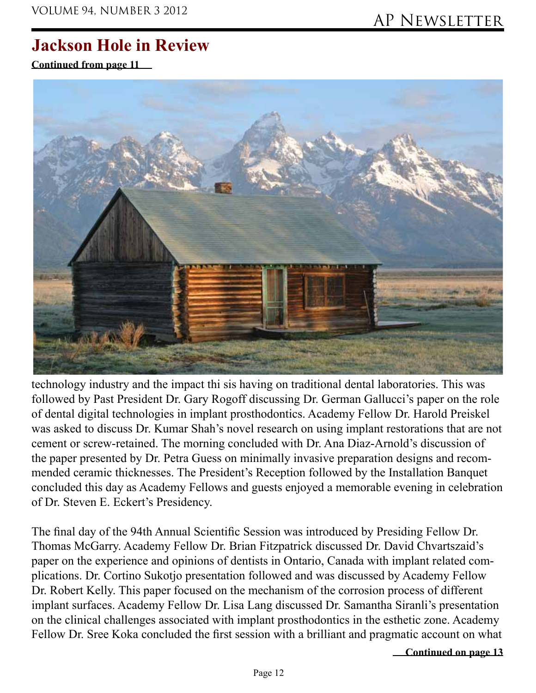**Continued from page 11**



technology industry and the impact thi sis having on traditional dental laboratories. This was followed by Past President Dr. Gary Rogoff discussing Dr. German Gallucci's paper on the role of dental digital technologies in implant prosthodontics. Academy Fellow Dr. Harold Preiskel was asked to discuss Dr. Kumar Shah's novel research on using implant restorations that are not cement or screw-retained. The morning concluded with Dr. Ana Diaz-Arnold's discussion of the paper presented by Dr. Petra Guess on minimally invasive preparation designs and recommended ceramic thicknesses. The President's Reception followed by the Installation Banquet concluded this day as Academy Fellows and guests enjoyed a memorable evening in celebration of Dr. Steven E. Eckert's Presidency.

The final day of the 94th Annual Scientific Session was introduced by Presiding Fellow Dr. Thomas McGarry. Academy Fellow Dr. Brian Fitzpatrick discussed Dr. David Chvartszaid's paper on the experience and opinions of dentists in Ontario, Canada with implant related complications. Dr. Cortino Sukotjo presentation followed and was discussed by Academy Fellow Dr. Robert Kelly. This paper focused on the mechanism of the corrosion process of different implant surfaces. Academy Fellow Dr. Lisa Lang discussed Dr. Samantha Siranli's presentation on the clinical challenges associated with implant prosthodontics in the esthetic zone. Academy Fellow Dr. Sree Koka concluded the first session with a brilliant and pragmatic account on what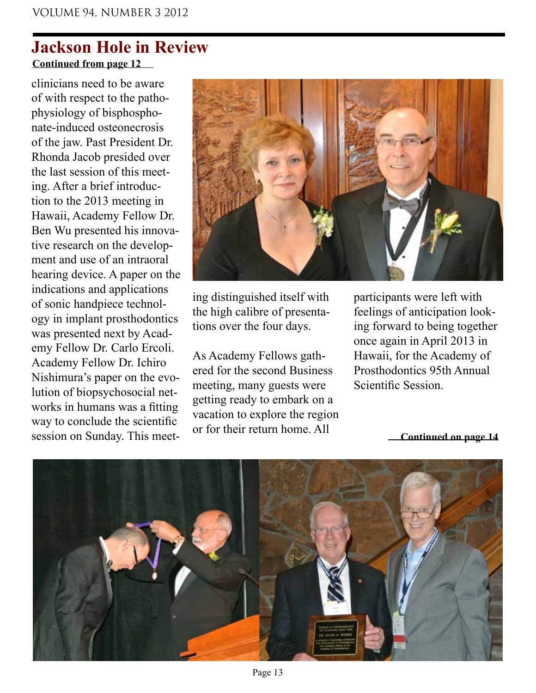### **Continued from page 12 Jackson Hole in Review**

clinicians need to be aware of with respect to the pathophysiology of bisphosphonate-induced osteonecrosis of the jaw. Past President Dr. Rhonda Jacob presided over the last session of this meeting. After a brief introduction to the 2013 meeting in Hawaii, Academy Fellow Dr. Ben Wu presented his innovative research on the development and use of an intraoral hearing device. A paper on the indications and applications of sonic handpiece technology in implant prosthodontics was presented next by Academy Fellow Dr. Carlo Ercoli. Academy Fellow Dr. Ichiro Nishimura's paper on the evolution of biopsychosocial networks in humans was a fitting way to conclude the scientific session on Sunday. This meet-



ing distinguished itself with the high calibre of presentations over the four days.

As Academy Fellows gathered for the second Business meeting, many guests were getting ready to embark on a vacation to explore the region or for their return home. All

participants were left with feelings of anticipation looking forward to being together once again in April 2013 in Hawaii, for the Academy of Prosthodontics 95th Annual Scientific Session.

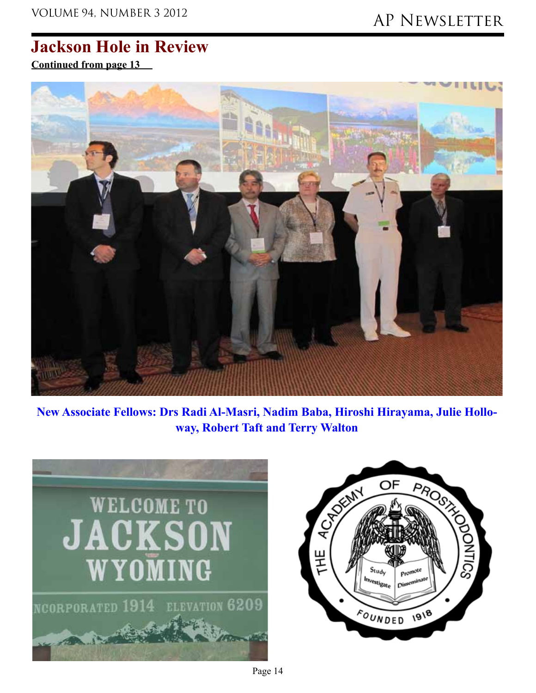**Continued from page 13**



**New Associate Fellows: Drs Radi Al-Masri, Nadim Baba, Hiroshi Hirayama, Julie Holloway, Robert Taft and Terry Walton**



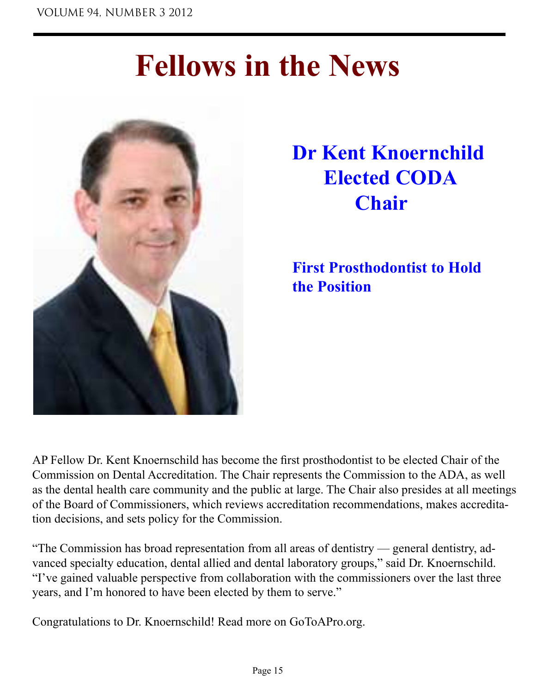# **Fellows in the News**



# **Dr Kent Knoernchild Elected CODA Chair**

**First Prosthodontist to Hold the Position**

AP Fellow Dr. Kent Knoernschild has become the first prosthodontist to be elected Chair of the Commission on Dental Accreditation. The Chair represents the Commission to the ADA, as well as the dental health care community and the public at large. The Chair also presides at all meetings of the Board of Commissioners, which reviews accreditation recommendations, makes accreditation decisions, and sets policy for the Commission.

"The Commission has broad representation from all areas of dentistry — general dentistry, advanced specialty education, dental allied and dental laboratory groups," said Dr. Knoernschild. "I've gained valuable perspective from collaboration with the commissioners over the last three years, and I'm honored to have been elected by them to serve."

Congratulations to Dr. Knoernschild! Read more on GoToAPro.org.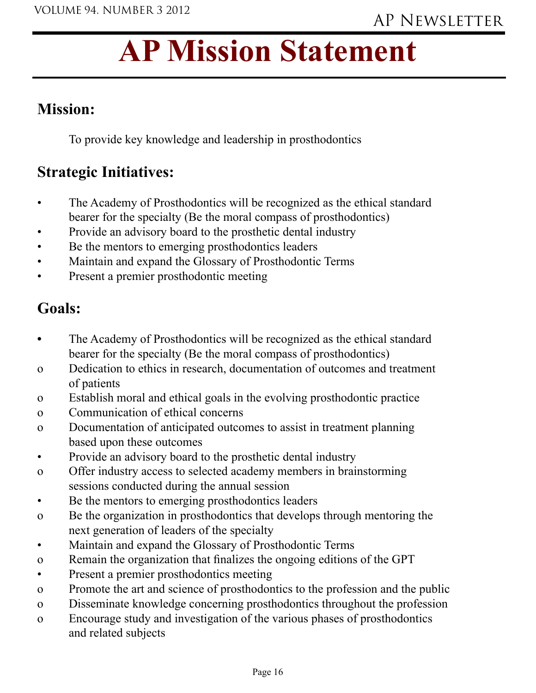# **AP Mission Statement**

### **Mission:**

To provide key knowledge and leadership in prosthodontics

### **Strategic Initiatives:**

- The Academy of Prosthodontics will be recognized as the ethical standard bearer for the specialty (Be the moral compass of prosthodontics)
- Provide an advisory board to the prosthetic dental industry
- Be the mentors to emerging prosthodontics leaders
- Maintain and expand the Glossary of Prosthodontic Terms
- Present a premier prosthodontic meeting

### **Goals:**

- The Academy of Prosthodontics will be recognized as the ethical standard bearer for the specialty (Be the moral compass of prosthodontics)
- o Dedication to ethics in research, documentation of outcomes and treatment of patients
- o Establish moral and ethical goals in the evolving prosthodontic practice
- o Communication of ethical concerns
- o Documentation of anticipated outcomes to assist in treatment planning based upon these outcomes
- Provide an advisory board to the prosthetic dental industry
- o Offer industry access to selected academy members in brainstorming sessions conducted during the annual session
- Be the mentors to emerging prosthodontics leaders
- o Be the organization in prosthodontics that develops through mentoring the next generation of leaders of the specialty
- Maintain and expand the Glossary of Prosthodontic Terms
- o Remain the organization that finalizes the ongoing editions of the GPT
- Present a premier prosthodontics meeting
- o Promote the art and science of prosthodontics to the profession and the public
- o Disseminate knowledge concerning prosthodontics throughout the profession
- o Encourage study and investigation of the various phases of prosthodontics and related subjects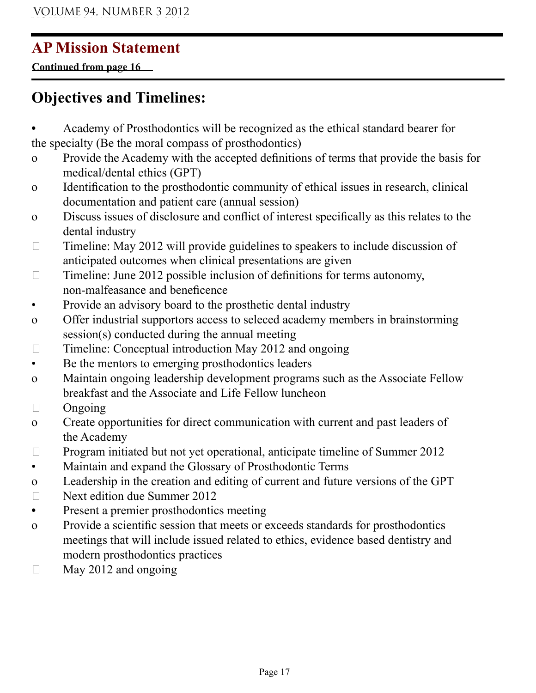## **AP Mission Statement**

**Continued from page 16**

## **Objectives and Timelines:**

- **•** Academy of Prosthodontics will be recognized as the ethical standard bearer for the specialty (Be the moral compass of prosthodontics)
- o Provide the Academy with the accepted definitions of terms that provide the basis for medical/dental ethics (GPT)
- o Identification to the prosthodontic community of ethical issues in research, clinical documentation and patient care (annual session)
- o Discuss issues of disclosure and conflict of interest specifically as this relates to the dental industry
- $\Box$  Timeline: May 2012 will provide guidelines to speakers to include discussion of anticipated outcomes when clinical presentations are given
- $\Box$  Timeline: June 2012 possible inclusion of definitions for terms autonomy, non-malfeasance and beneficence
- Provide an advisory board to the prosthetic dental industry
- o Offer industrial supportors access to seleced academy members in brainstorming session(s) conducted during the annual meeting
- $\Box$  Timeline: Conceptual introduction May 2012 and ongoing
- Be the mentors to emerging prosthodontics leaders
- o Maintain ongoing leadership development programs such as the Associate Fellow breakfast and the Associate and Life Fellow luncheon
- $\Box$  Ongoing
- o Create opportunities for direct communication with current and past leaders of the Academy
- $\Box$  Program initiated but not yet operational, anticipate timeline of Summer 2012
- Maintain and expand the Glossary of Prosthodontic Terms
- o Leadership in the creation and editing of current and future versions of the GPT
- Next edition due Summer 2012
- Present a premier prosthodontics meeting
- o Provide a scientific session that meets or exceeds standards for prosthodontics meetings that will include issued related to ethics, evidence based dentistry and modern prosthodontics practices
- $\Box$  May 2012 and ongoing